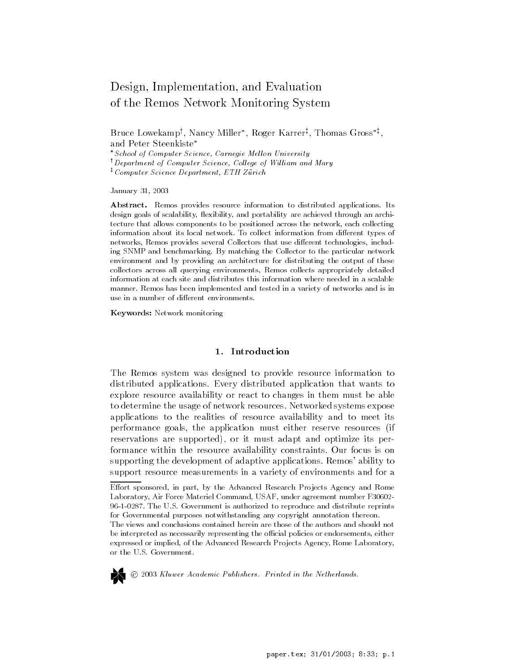# Design, Implementation, and Evaluation of the Remos Network Monitoring System

Bruce Lowekampy Nancy Miller Roger Karrerz Thomas Grossz and Peter Steenkiste

\* School of Computer Science, Carnegie Mellon University <sup>†</sup>Department of Computer Science, College of William and Mary  $\tau$ Uomputer Science Department, EIH Zurich

January -

Abstract. Remos provides resource information to distributed applications. Its design goals of scalability, flexibility, and portability are achieved through an architecture that allows components to be positioned across the network each collecting information about its local network. To collect information from different types of networks, Remos provides several Collectors that use different technologies, including SNMP and benchmarking. By matching the Collector to the particular network environment and by providing an architecture for distributing the output of these collectors across all querying environments Remos collects appropriately detailed information at each site and distributes this information where needed in a scalable manner Remos has been implemented and tested in a variety of networks and is in use in a number of different environments.

keywords- network monitoring monitoring monitoring monitoring monitoring monitoring monitoring monitoring moni

The Remos system was designed to provide resource information to distributed applications- Every distributed application that wants to explore resource availability or react to changes in them must be able to determine the usage of network resources- Networked systems expose applications to the realities of resource availability and to meet its performance goals, the application must either reserve resources (if reservations are supported), or it must adapt and optimize its performance within the resource availability constraints- Our focus is on supporting the development of adaptive applications- Remos ability to support resource measurements in a variety of environments and for a

The views and conclusions contained herein are those of the authors and should not be interpreted as necessarily representing the official policies or endorsements, either expressed or implied, of the Advanced Research Projects Agency, Rome Laboratory, or the US Government



2003 Kluwer Academic Publishers. Printed in the Netherlands.

Effort sponsored, in part, by the Advanced Research Projects Agency and Rome Laboratory Air Force Materiel Command USAF under agreement number F  $\blacksquare$  . The US Government is a unit is authorized to reproduce and distribute representation  $\blacksquare$ for Governmental purposes notwithstanding any copyright annotation thereon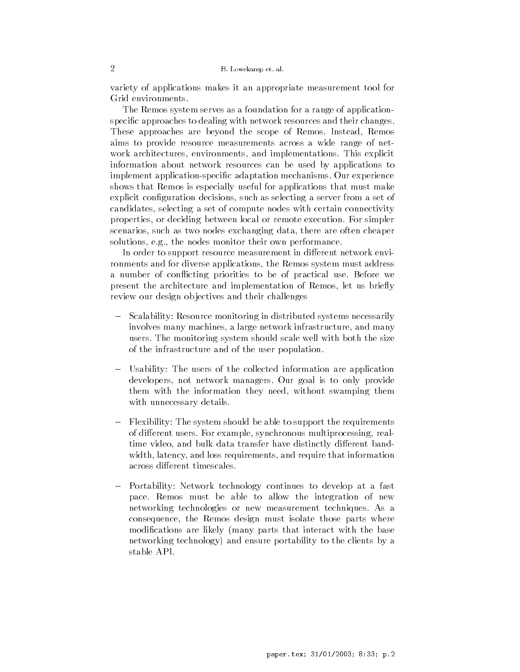## $\mathbf{B}$ . Lowekamp et. al.

variety of applications makes it an appropriate measurement tool for Grid environments.

The Remos system serves as a foundation for a range of application specific approaches to dealing with network resources and their changes. These approaches are beyond the scope of Remos- Instead Remos aims to provide resource measurements across a wide range of net work architectures environments and implementations-increases and implementations-increases and implementationsinformation about network resources can be used by applications to implement applicationspecic adaptation mechanisms- Our experience shows that Remos is especially useful for applications that must make explicit configuration decisions, such as selecting a server from a set of candidates, selecting a set of compute nodes with certain connectivity properties or deciding between local or remote execution- For simpler scenarios, such as two nodes exchanging data, there are often cheaper solutions e-g-p-monitor their theories are not constructed and the control of the second control of the control of the control of the control of the control of the control of the control of the control of the control of th

In order to support resource measurement in different network environments and for diverse applications the Remos system must address a number of con icting priorities to be of practical use- Before we present the architecture and implementation of Remos let us brie y review our design ob jectives and their challenges

- Scalability: Resource monitoring in distributed systems necessarily involves many machines, a large network infrastructure, and many  $\mathbf{M}$ users-should scale with both the size well with both the size well with both the size well with both the size  $\mathbf{M}$ of the infrastructure and of the user population-
- Usability: The users of the collected information are application as so person as a construction of the control of the second control of the second control of the second control them with the information they need, without swamping them with unnecessary details.
- Flexibility: The system should be able to support the requirements of di erent users- For example synchronous multiprocessing real time video, and bulk data transfer have distinctly different bandwidth, latency, and loss requirements, and require that information across different timescales.
- Portability: Network technology continues to develop at a fast pace-contract below the integration of the integration of new t networking technologies or new measurement techniques- As a consequence, the Remos design must isolate those parts where modifications are likely (many parts that interact with the base networking technology) and ensure portability to the clients by a stable API.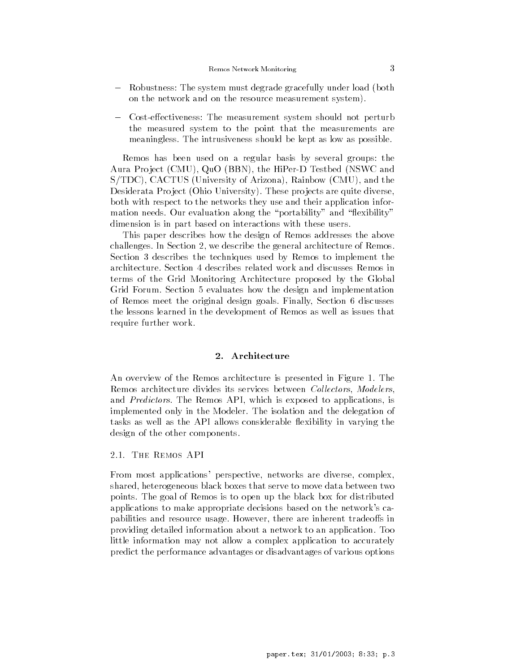- Robustness: The system must degrade gracefully under load (both on the network and on the resource measurement system).
- Cost-effectiveness: The measurement system should not perturb the measured system to the point that the measurements are meaningless, who introduces show as a low as possible-possible-

Remos has been used on a regular basis by several groups: the Aura Project (CMU), QuO (BBN), the HiPer-D Testbed (NSWC and S/TDC), CACTUS (University of Arizona), Rainbow (CMU), and the Desiderata Pro ject Ohio University- These pro jects are quite diverse both with respect to the networks they use and their application infor mation along the position along the portability and moments, dimension is in part based on interactions with these users-

This paper describes how the design of Remos addresses the above challenges- In Section we describe the general architecture of Remos-Section 3 describes the techniques used by Remos to implement the terms of the Grid Monitoring Architecture proposed by the Global Grid Forum- Section evaluates how the design and implementation of Remos meet the original design goals- Finally Section discusses the lessons learned in the development of Remos as well as issues that require further work-

## 2. Architecture

An overview of the Remos architecture is presented in Figure - The Remos architecture divides its services between *Collectors*, *Modelers*, and I remotered Into Remote it is exposed to applications in the Remote implemented only in the Modeler- The isolation and the delegation of tasks as well as the API allows considerable exibility in varying the design of the other components.

From most applications' perspective, networks are diverse, complex, shared, heterogeneous black boxes that serve to move data between two points- the goal of Remove is to open up the black box for distribution applications to make appropriate decisions based on the network's caparameters and resource usage-book, and in however the indicated the state of  $\sim$ providing detailed information about a network to an application- Too little information may not allow a complex application to accurately predict the performance advantages or disadvantages of various options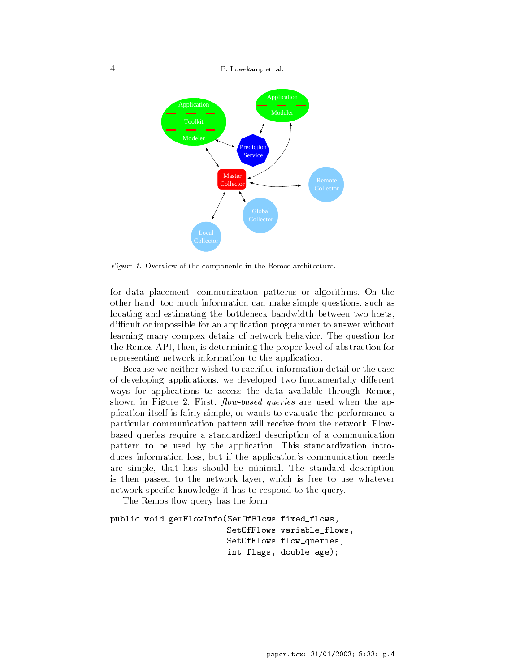B Lowekamp et al



Figure 1. Overview of the components in the Remos architecture.

for data placement communication patterns or algorithms- On the other hand, too much information can make simple questions, such as locating and estimating the bottleneck bandwidth between two hosts difficult or impossible for an application programmer to answer without learning many complex details of network behavior- The question for the Remos API, then, is determining the proper level of abstraction for representing network information to the application-

Because we neither wished to sacrifice information detail or the ease of developing applications, we developed two fundamentally different ways for applications to access the data available through Remos shown in Figure 2. First, *flow-based queries* are used when the application itself is fairly simple, or wants to evaluate the performance a particular communication pattern will receive from the network-  $\mathbf{r}_i$ based queries require a standardized description of a communication pattern to be used by the application-was standardization-was and the applicationduces information loss, but if the application's communication needs are simple, distribution be minimal-description and standard descriptions. is then passed to the network layer, which is free to use whatever network-specific knowledge it has to respond to the query.

own contract the complete  $\mu$  and form the form  $\mu$ 

```
public anta eentominto/penniitoms tiyed tioms.
                        SetOfFlows variable-
flowsSetOfFlows flow-
queriesint flags, double age);
```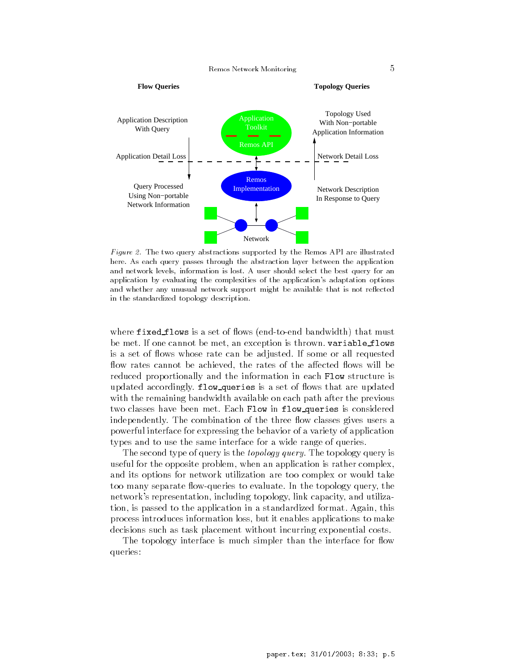

Figure 2. The two query abstractions supported by the Remos API are illustrated here. As each query passes through the abstraction layer between the application and network levels, information is lost. A user should select the best query for an application by evaluating the complexities of the application's adaptation options and whether any unusual network support might be available that is not reflected in the standardized topology description

where **fixed from the set of the set of set of** the set of the must must have the set of be met-tax in one cannot be met, an exception is thrown, **variable flows** is a set of ows whose rate can be adjusted- If some or all requested ow rates cannot be a momentum and rates of the annotation of the best of the a reduced proportionally and the information in each Flow structure is up aweed weeds and give momentum are no week of he when the are up aweed with the remaining bandwidth available on each path after the previous two classes have been mittle mathematically in flow is considered to the second second second second second second second second second second second second second second second second second second second second second se independently-dependently-dependently-dependently-dependently-dependently-dependently-dependently-dependentlypowerful interface for expressing the behavior of a variety of application types and to use the same interface for a wide range of queries-

The second type of query is the topology query- The topology query is useful for the opposite problem, when an application is rather complex, and its options for network utilization are too complex or would take too many separate owqueries to evaluate- In the topology query the network's representation, including topology, link capacity, and utilization is passed to the application in a standardized formatprocess introduces information loss but it enables applications to make decisions such as task placement without incurring exponential costs-

The topology interface is much simpler than the interface for ow queries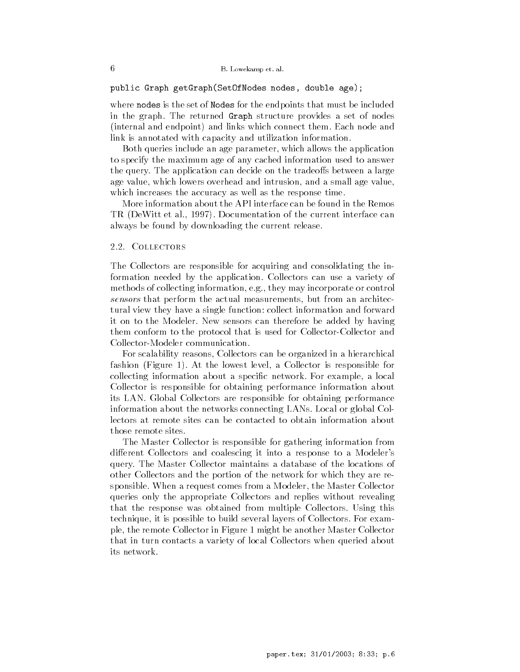## public Graph getGraph(SetOfNodes nodes, double age);

where nodes is the set of Nodes for the endpoints that must be included in the graph. The returned Women's structure provides a set of nodes internal and endpoint and links which connect them- Each node and link is annotated with capacity and utilization information.

Both queries include an age parameter, which allows the application to specify the maximum age of any cached information used to answer the application can decide on the application can decide on the tradeo second  $\mathcal{M}$ age value, which lowers overhead and intrusion, and a small age value, which increases the accuracy as well as the response time.

More information about the API interface can be found in the Remos TR DeWitt et al- - Documentation of the current interface can always be found by downloading the current release-

The Collectors are responsible for acquiring and consolidating the in formation needed by the application- Collectors can use a variety of methods of collecting information e-g- they may incorporate or control sensors that perform the actual measurements but from an architec tural view they have a single function collect information and forward it on to the Modeler-Modeler-Modeler-Modeler-Modeler-Modeler-Modeler-Modeler-Modeler-Modeler-Modeler-Modeler-Modeler-Modeler-Modeler-Modeler-Modeler-Modeler-Modeler-Modeler-Modeler-Modeler-Modeler-Modeler-Modeler-Modelerthem conform to the protocol that is used for Collector-Collector and Collector-Modeler communication.

For scalability reasons, Collectors can be organized in a hierarchical fashion Figure - At the lowest level a Collector is responsible for collecting information about a specic network- For example a local Collector is responsible for obtaining performance information about its LAN- Global Collectors are responsible for obtaining performance information about the networks connecting LANs- Local or global Col lectors at remote sites can be contacted to obtain information about those remote sites-

The Master Collector is responsible for gathering information from different Collectors and coalescing it into a response to a Modeler's query- The Master Collector maintains and the locations of the locations of the locations of other Collectors and the portion of the network for which they are re sponsible- When a request comes from a Modeler the Master Collector queries only the appropriate Collectors and replies without revealing that the response was obtained from multiple Collectors- Using this technique it is possible to build several layers of Collectors- For exam ple, the remote Collector in Figure 1 might be another Master Collector that in turn contacts a variety of local Collectors when queried about its network-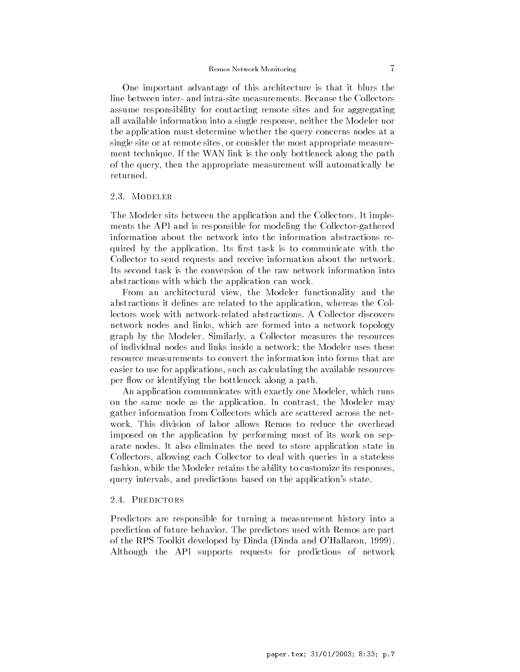One important advantage of this architecture is that it blurs the assume responsibility for contacting remote sites and for aggregating all available information into a single response, neither the Modeler nor the application must determine whether the query concerns nodes at a single site or at remote sites or consider the most appropriate measure ment technique- If the WAN link is the only bottleneck along the path of the query, then the appropriate measurement will automatically be returned.

The Modeler sits between the application and the Collectors- It imple ments the API and is responsible for modeling the Collector-gathered information about the network into the information abstractions re quired by the applications in the communicate with the communicate with the communicate with the communicate wi Collector to send requests and receive information about the network-Its second task is the conversion of the raw network information into abstractions with which the application can work-

From an architectural view, the Modeler functionality and the abstractions it defines are related to the application, whereas the Colnetwork nodes and links, which are formed into a network topology graph by the Modeler- Similarly a Collector measures the resources of individual nodes and links inside a network; the Modeler uses these resource measurements to convert the information into forms that are easier to use for applications, such as calculating the available resources per ow or identifying the bottleneck along a path-

An application communicates with exactly one Modeler, which runs on the same node as the application- In contrast the Modeler may gather information from Collectors which are scattered across the net imposed on the application by performing most of its work on sep arate nodes- It also eliminates the need to store application state in Collectors, allowing each Collector to deal with queries in a stateless fashion, while the Modeler retains the ability to customize its responses, query intervals, and predictions based on the application's state.

Predictors are responsible for turning a measurement history into a prediction of future behavior- The predictors used with Remos are part of the RPS Toolkit developed by Dinda (Dinda and O'Hallaron, 1999). Although the API supports requests for predictions of network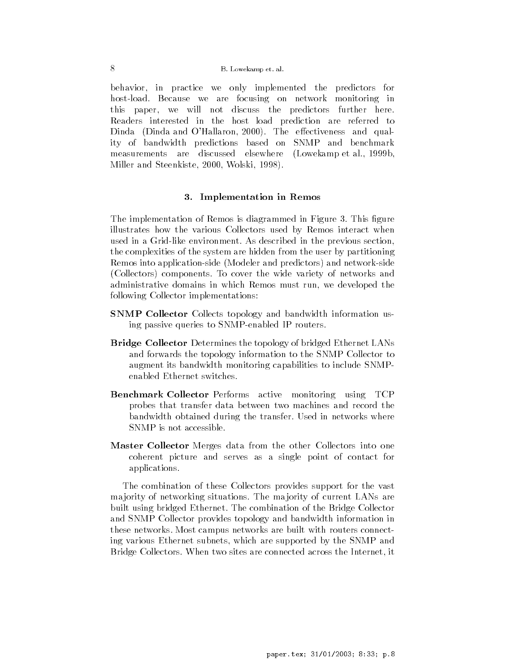behavior, in practice we only implemented the predictors for hostload- Because we are focusing on network monitoring in this paper, we will not discuss the predictors further here. Readers interested in the host load prediction are referred to dinda and OHallaron - Dinda and OHallaron - OHallaron - OHallaron - OHallaron - OHallaron - OHallaron - OHalla ity of bandwidth predictions based on SNMP and benchmark measurements are discussed elsewhere (Lowekamp et al., 1999b, Miller and Steenkiste, 2000, Wolski, 1998).

## - Implementation in Removementation in Removementation in Removementation in Removementation in Removementation

The implementation of  $\mathcal{L}$  is diagrammed in Figure . This gure is diagrammed in Figure ,  $\mathcal{L}$ illustrates how the various Collectors used by Remos interact when used in a Gridlike environment-bedrift environment-bedrift en vironment-bedrift en vironment-bedrift en vironme the complexities of the system are hidden from the user by partitioning Remos into application-side (Modeler and predictors) and network-side , covered to component and wide variety and wide variety of the wide variety and wide administrative domains in which Remos must run, we developed the following Collector implementations

- SNMP Collector Collects topology and bandwidth information us ing passive queries to SNMP-enabled IP routers.
- **Bridge Collector** Determines the topology of bridged Ethernet LANs and forwards the topology information to the SNMP Collector to augment its bandwidth monitoring capabilities to include SNMP enabled Ethernet switches-
- Benchmark Collector Performs active monitoring using TCP probes that transfer data between two machines and record the bandwidth obtained during the transfer- Used in networks where SNMP is not accessible.
- Master Collector Merges data from the other Collectors into one coherent picture and serves as a single point of contact for applications-

The combination of these Collectors provides support for the vast ma jority of networking situations- The ma jority of current LANs are  $\mathbf{M}$  is using bridge  $\mathbf{M}$ and SNMP Collector provides topology and bandwidth information in these networks- Most campus networks are built with routers connect ing various Ethernet subnets, which are supported by the SNMP and Bridge Collectors- When two sites are connected across the Internet it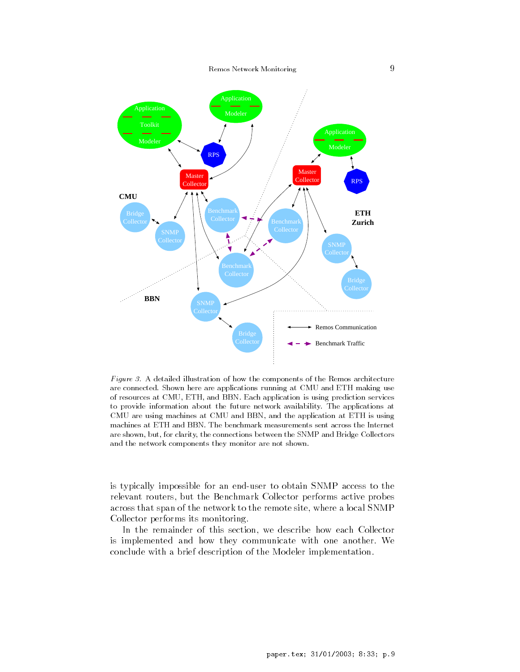Remos Network Monitoring



Figure 3. A detailed illustration of how the components of the Remos architecture are connected. Shown here are applications running at CMU and ETH making use of resources at CMU, ETH, and BBN. Each application is using prediction services to provide information about the future network availability The applications at CMU are using machines at CMU and BBN, and the application at ETH is using machines at ETH and BBN The benchmark measurements sent across the Internet are shown, but, for clarity, the connections between the SNMP and Bridge Collectors and the network components they monitor are not shown

is typically impossible for an end-user to obtain SNMP access to the relevant routers but the Benchmark Collector performs active probes across that span of the network to the remote site, where a local SNMP Collector performs its monitoring-

In the remainder of this section, we describe how each Collector is implemented and how they communicate with one another- We conclude with a brief description of the Modeler implementation-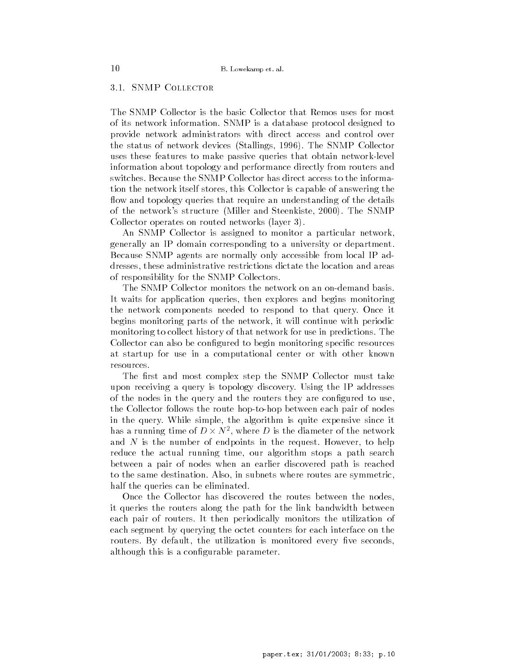## 3.1. SNMP COLLECTOR

The SNMP Collector is the basic Collector that Remos uses for most of its network information-to-the is a distinct protocol designed to provide network administrators with direct access and control over the status of network devices  $\mathbf{A}$  and  $\mathbf{A}$  and  $\mathbf{A}$  and  $\mathbf{A}$  and  $\mathbf{A}$  and  $\mathbf{A}$  and  $\mathbf{A}$ uses these features to make passive queries that obtain network-level information about topology and performance directly from routers and tion the network itself stores this Collector is capable of answering the ow and topology queries that requires that requires that requires that require an understanding of the details of the details of the details of the details of the details of the details of the details of the details of th of the networks structure possible and Steenberg party, part structure Collector operates on routed networks (layer 3).

An SNMP Collector is assigned to monitor a particular network generally an IP domain corresponding to a university or department-Because SNMP agents are normally only accessible from local IP ad dresses, these administrative restrictions dictate the location and areas of responsibility for the SNMP Collectors-

The SNMP Collector monitors the network on an on-demand basis. It waits for application queries, then explores and begins monitoring the network components needed to respond to that query- Once it begins monitoring parts of the network it will continue with periodic monitoring to collect history of that network for use in predictions- The Collector can also be configured to begin monitoring specific resources at startup for use in a computational center or with other known resources-

The first and most complex step the SNMP Collector must take upon receiving a query is topology discovery- Using the IP addresses of the nodes in the query and the routers they are configured to use, the Collector follows the route hop-to-hop between each pair of nodes in the query- While simple the algorithm is quite expensive since it has a running time of  $D \times N$  , where  $D$  is the diameter of the network and the second control of the request-control the request-to the rest of the respect to the representation of reduce the actual running time, our algorithm stops a path search between a pair of nodes when an earlier discovered path is reached to the same destination- the same part symmetric where the symmetric symmetric half the queries can be eliminated.

Once the Collector has discovered the routes between the nodes it queries the routers along the path for the link bandwidth between each pair of routers-fit then periodically monitors the utilization of each segment by querying the octet counters for each interface on the routers-by definity the utilization in monitored every motorchile. although this is a configurable parameter.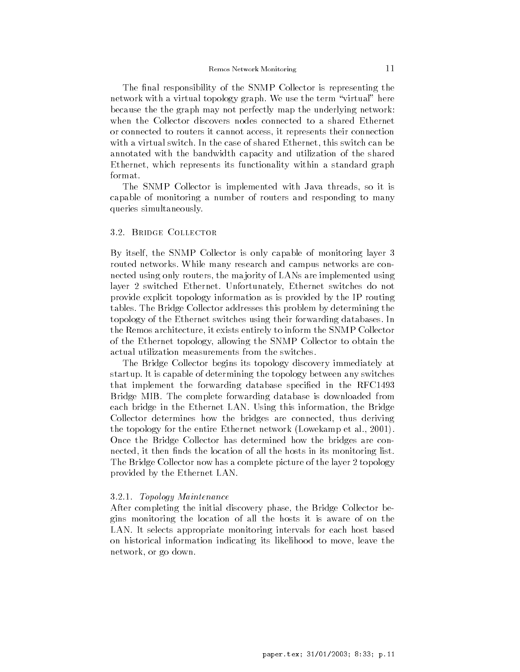The final responsibility of the SNMP Collector is representing the network with a virtual topology graph-term virtual term virtual here t because the the graph may not perfectly map the underlying network when the Collector discovers nodes connected to a shared Ethernet or connected to routers it cannot access it represents their connection with a virtual switch-shared Ethernet the shared the case of shared Ethernet this switches annotated with the bandwidth capacity and utilization of the shared Ethernet, which represents its functionality within a standard graph format.

The SNMP Collector is implemented with Java threads, so it is capable of monitoring a number of routers and responding to many queries simultaneously-

By itself, the SNMP Collector is only capable of monitoring layer 3 routed networks- while many research and construction are constructed and construction nected using only routers, the majority of LANs are implemented using layer switched Ethernet- Unfortunately Ethernet switches do not provide explicit topology information as is provided by the IP routing tables  $\mathbf{M}$ topology of the Ethernet switches using their forwarding databases- In the Remos architecture, it exists entirely to inform the SNMP Collector of the Ethernet topology allowing the SNMP Collector to obtain the actual utilization measurements from the switches-

The Bridge Collector begins its topology discovery immediately at startup- It is capable of determining the topology between any switches that implement the forwarding database specified in the  $RFC1493$ Bridge MIB- The complete forwarding database is downloaded from each bridge in the Ethernet LAN-information the Ethernet LAN-information the Bridge information the Bridge in Collector determines how the bridges are connected, thus deriving the topology for the entire Ethernet network Lowekamp et al- -Once the Bridge Collector has determined how the bridges are con nected, it then finds the location of all the hosts in its monitoring list. The Bridge Collector now has a complete picture of the layer 2 topology provided by the Ethernet LAN-

## $3.2.1.$  Topology Mathieuance

After completing the initial discovery phase, the Bridge Collector begins monitoring the location of all the hosts it is aware of on the LAN- It selects appropriate monitoring intervals for each host based on historical information indicating its likelihood to move leave the network, or go down.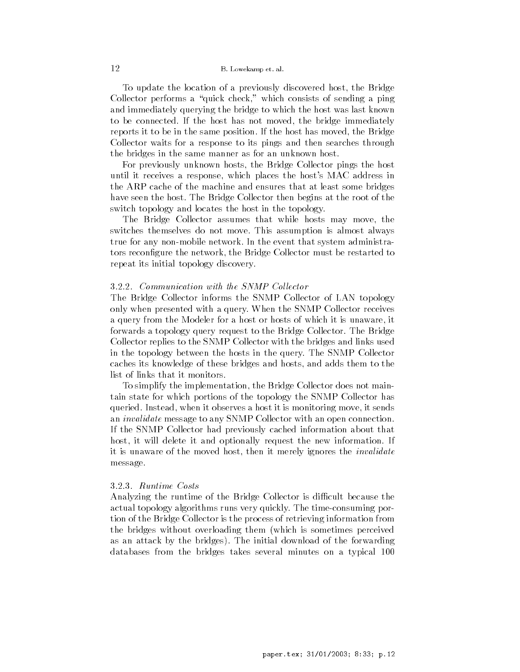## B Lowekamp et al

To update the location of a previously discovered host, the Bridge Collector performs a "quick check," which consists of sending a ping and immediately querying the bridge to which the host was last known to be connected-in the bridge immediately into the bridge immediately reports it to be in the same position- If the host has moved the Bridge Collector waits for a response to its pings and then searches through the bridges in the same manner as for an unknown host-

For previously unknown hosts, the Bridge Collector pings the host until it receives a response, which places the host's MAC address in the ARP cache of the machine and ensures that at least some bridges have seen the host- The Bridge Collector then begins at the root of the switch topology and locates the host in the topology-

The Bridge Collector assumes that while hosts may move, the switches themselves do not move- This assumption is almost always true for any nonmobile network- In the event that system administra tors reconfigure the network, the Bridge Collector must be restarted to repeat its initial topology discovery-

## **3.4.4.** Communication with the SNMP Collector

The Bridge Collector informs the SNMP Collector of LAN topology only when presented with a query-within the SNMP Collector receives a query from the Modeler for a host or hosts of which it is unaware it for a topology query request to the Bridge Collector-Bridge Collector-Bridge Collector-Bridge Collector-Bridge Collector-Bridge Collector-Bridge Collector-Bridge Collector-Bridge Collector-Bridge Collector-Bridge Collecto Collector replies to the SNMP Collector with the bridges and links used in the topology between the hosts in the query- The SNMP Collector caches its knowledge of these bridges and hosts, and adds them to the list of links that it monitors-

To simplify the implementation the Bridge Collector does not main tain state for which portions of the topology the SNMP Collector has  $\mathbf 1$  is the instead when it observes a host it is more it is more it is more it is more it sends to be it sends to be it is more it is more it is more it is more it is more it is more it is more it is more it is more i an *invalidate* message to any SNMP Collector with an open connection. If the SNMP Collector had previously cached information about that host it will delete it and optionally request the new information- If it is unaware of the moved host, then it merely ignores the *invalidate* message.

## $\sigma$ .  $\sigma$  . Thermit costs

Analyzing the runtime of the Bridge Collector is difficult because the actual topology algorithms runs very quickly-service port of timeconsuming port of the timeconsuming port of t tion of the Bridge Collector is the process of retrieving information from the bridges without overloading them (which is sometimes perceived as an attack by the bridges- the initial download of the forwarding  $\sim$ databases from the bridges takes several minutes on a typical 100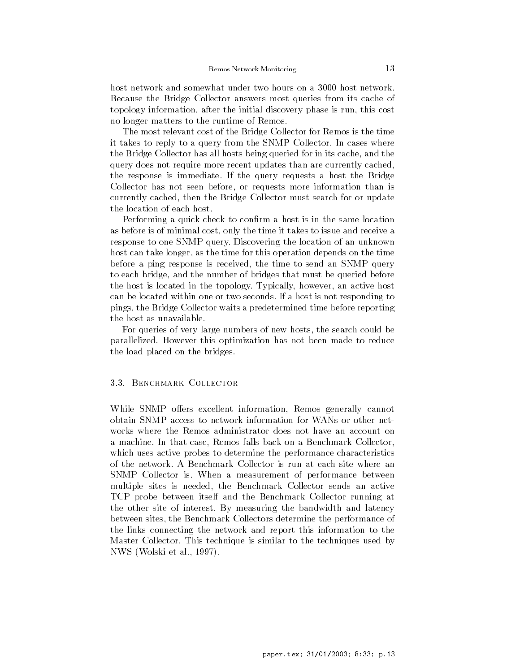host network and somewhat under two hours on a 3000 host network. Because the Bridge Collector answers most queries from its cache of topology information, after the initial discovery phase is run, this cost no longer matters to the runtime of Remos.

The most relevant cost of the Bridge Collector for Remos is the time it takes to reply to a query from the SNMP Collector- In cases where the Bridge Collector has all hosts being queried for in its cache, and the query does not require more recent updates than are currently cached the response is immediate- If the query requests a host the Bridge Collector has not seen before, or requests more information than is currently cached, then the Bridge Collector must search for or update the location of each host-

Performing a quick check to confirm a host is in the same location as before is of minimal cost, only the time it takes to issue and receive a response to one ST case query, most corresponse to an universal the strain of  $\sim$ host can take longer, as the time for this operation depends on the time before a ping response is received, the time to send an SNMP query to each bridge, and the number of bridges that must be queried before the host is located in the topology-bost is located in the topology-bost is located in the topology-bost is a  $\mathcal{L}$ can be located within one or two seconds-compared is not responding to the pings, the Bridge Collector waits a predetermined time before reporting the host as unavailable.

For queries of very large numbers of new hosts, the search could be parallelized-biological control of the control of the control of the control of the control of the control of the control of the control of the control of the control of the control of the control of the control of the con the load placed on the bridges.

While SNMP offers excellent information, Remos generally cannot obtain SNMP access to network information for WANs or other net works where the Remos administrator does not have an account on a machine-case remos falls backets falls back on a Benchmark Collector, which uses active probes to determine the performance characteristics SNMP Collector is- When a measurement of performance between multiple sites is needed, the Benchmark Collector sends an active TCP probe between itself and the Benchmark Collector running at the other site of interest-site of interest-site of interest-site of interest-site of  $\mathbf{A}$ between sites, the Benchmark Collectors determine the performance of the links connecting the network and report this information to the master collector-collector-collector-collector-collector-collector-collector-collector-collector-collector-col NWS Wolski et al- -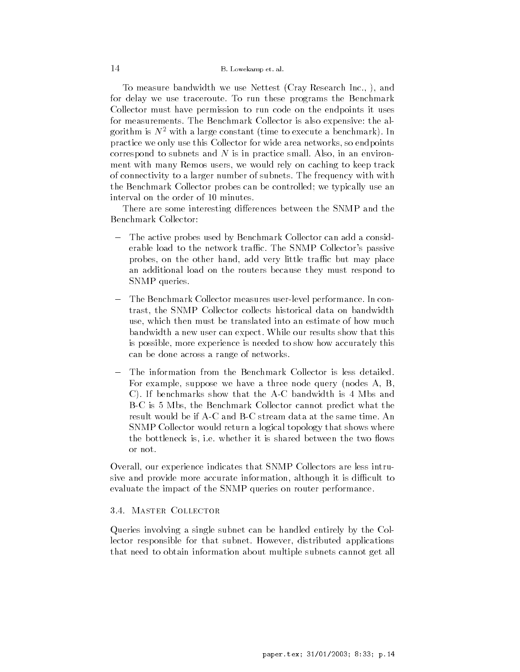To measure bandwidth we use Nettest Cray Research Inc- and for delay we use traceroute- To run these programs the Benchmark Collector must have permission to run code on the endpoints it uses for measurements- The Benchmark Collector is also expensive the al gorithm is *i*v - with a large constant (time to execute a benchmark). In practice we only use this Collector for wide area networks, so endpoints correspond to substitute and in the protection smaller in an environment of  $\sim$ ment with many Remos users, we would rely on caching to keep track of connectivity to a larger number of subnets- The frequency with with the Benchmark Collector probes can be controlled; we typically use an interval on the order of 10 minutes.

There are some interesting differences between the SNMP and the Benchmark Collector

- The active probes used by Benchmark Collector can add a consid erable load to the network trac- The SNMP Collectors passive probes, on the other hand, add very little traffic but may place an additional load on the routers because they must respond to SNMP queries.
- The Benchmark Collector measures userlevel performance- In con trast, the SNMP Collector collects historical data on bandwidth use, which then must be translated into an estimate of how much bandwidth a new user can expect that the show the show that the show that the show that the show that the show is possible, more experience is needed to show how accurately this can be done across a range of networks-
- The information from the Benchmark Collector is less detailed. For example, suppose we have a three node query (nodes  $A, B$ , c-p- is determined distribution that the AC bandwidth is the AC bandwidth in the AC bandwidth is defined and the B-C is 5 Mbs, the Benchmark Collector cannot predict what the SNMP Collector would return a logical topology that shows where the bottleneck is i-defined between the two states is i-defined between the two states  $\mathbb{R}^n$ or not-

Overall, our experience indicates that SNMP Collectors are less intrusive and provide more accurate information, although it is difficult to evaluate the impact of the SNMP queries on router performance.

Queries involving a single subnet can be handled entirely by the Col lector responsible for that subnet- However distributed applications that need to obtain information about multiple subnets cannot get all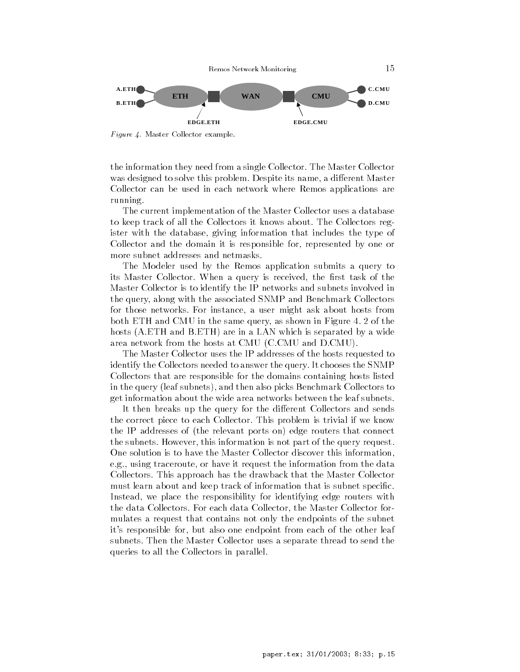

Figure 4. Master Collector example.

the information they need from a single Collector- The Master Collector was designed to solve this problem-to solve this problem-to solve this name and  $\mathcal{C}$ Collector can be used in each network where Remos applications are running.

The current implementation of the Master Collector uses a database to keep track of all the Collectors it knows about- The Collectors reg ister with the database, giving information that includes the type of Collector and the domain it is responsible for, represented by one or more subnet addresses and netmasks-

The Modeler used by the Remos application submits a query to its Master Collector- When a query is received the rst task of the Master Collector is to identify the IP networks and subnets involved in the query along with the associated SNMP and Benchmark Collectors for those networks- For instance a user might ask about hosts from both ETH and CMU in the same query as shown in Figure -  $\mathbf{f}(\mathbf{a})$ hosts A-ETH and B-ETH are in a LAN which is separated by a wide area network from the hosts at CMU C-CMU C-CMU C-CMU C-CMU C-CMU C-CMU C-CMU C-CMU C-CMU C-CMU C-CMU C-CMU C-C

The Master Collector uses the IP addresses of the hosts requested to identify the Collectors needed to answer the query- It chooses the SNMP Collectors that are responsible for the domains containing hosts listed in the query (leaf subnets), and then also picks Benchmark Collectors to get information about the wide area networks between the leaf subnets-

It then breaks up the query for the different Collectors and sends the correct piece to each Collector- This problem is trivial if we know the IP addresses of (the relevant ports on) edge routers that connect the subnets- However this information is not part of the query request-One solution is to have the Master Collector discover this information e-g- using traceroute or have it request the information from the data collectors approach that the Master that the Master Collectors that the Master Collector must learn about and keep track of information that is subnet specific. Instead, we place the responsibility for identifying edge routers with the data Collectors- For each data Collector the Master Collector for mulates a request that contains not only the endpoints of the subnet it's responsible for, but also one endpoint from each of the other leaf substance the Master Collector uses a second the Master Collector uses a send the send thread thread thread th queries to all the Collectors in parallel-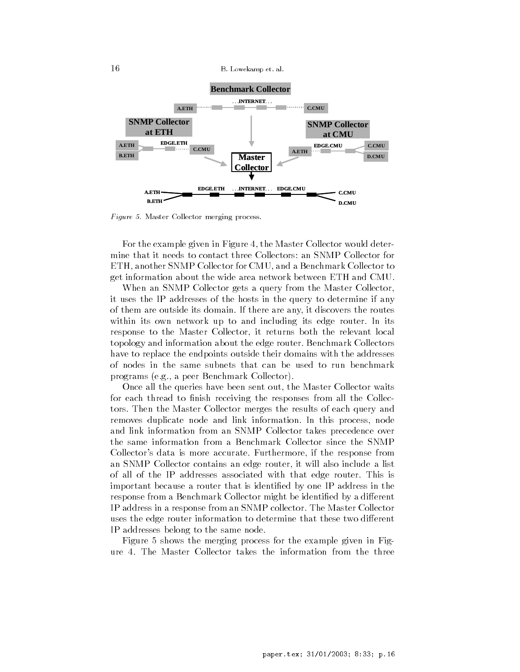

Figure 5. Master Collector merging process.

For the example given in Figure 4, the Master Collector would determine that it needs to contact three Collectors an SNMP Collector for ETH another SNMP Collector for CMU and a Benchmark Collector to get information about the wide area network between ETH and CMU-

When an SNMP Collector gets a query from the Master Collector, it uses the IP addresses of the hosts in the query to determine if any of them are outside its domain- If there are any it discovers the routes with its own network up to and including its edge router-definition including its edge router-definition in  $\mathcal{U}$ response to the Master Collector, it returns both the relevant local topology and information about the edge router- Benchmark Collectors have to replace the endpoints outside their domains with the addresses of nodes in the same subnets that can be used to run benchmark programs e-g- a peer Benchmark Collector-

Once all the queries have been sent out, the Master Collector waits for each thread to finish receiving the responses from all the Collectors- Then the Master Collector merges the results of each query and removes duplicate node and link information- In this process node and link information from an SNMP Collector takes precedence over the same information from a Benchmark Collector since the SNMP Collectors data is more accurate- Furthermore if the response from an SNMP Collector contains an edge router it will also include a list of all of the IP addresses associated with the this edge router-passociated with important because a router that is identified by one IP address in the response from a Benchmark Collector might be identified by a different IP address in a response from an SNMP collector- The Master Collector uses the edge router information to determine that these two different IP addresses belong to the same node-

Figure 5 shows the merging process for the example given in Fig-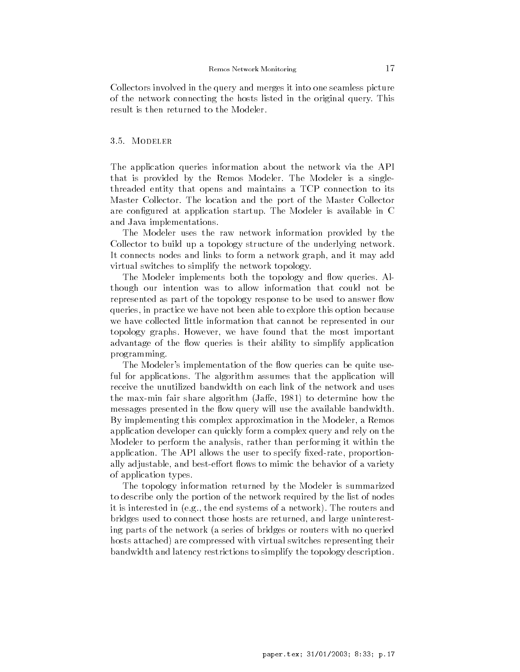Collectors involved in the query and merges it into one seamless picture of the network connecting the hosts listed in the original query-function result is then returned to the Modeler.

The application queries information about the network via the API that is provided by the Remos Modeler-Modeler-Modeler-Modeler-Modeler-Modeler-Modeler-Modeler-Modeler-Modeler is a single-Modeler-Modeler-Modeler-Modeler-Modeler-Modeler-Modeler-Modeler-Modeler-Modeler-Modeler-Modeler-Mod threaded entity that opens and maintains a TCP connection to its  $\blacksquare$ are consequent at application startup- which startup is available in Community in C and Java implementations-

The Modeler uses the raw network information provided by the Collector to build up a topology structure of the underlying network-It connects nodes and links to form a network graph and it may add virtual switches to simplify the network topology-

The Modeler implements both the topology and ow queries- Al though our intention was to allow information that could not be represented as part of the topology response to be used to answer ow queries in practice we have not been able to explore this option because we have collected little information that cannot be represented in our topology graphs- However we have found that the most important advantage of the most application in their most possible, applications of programming-

The Modelers implementation of the ow queries can be quite use ful for applications- The algorithm assumes that the application will receive the unutilized bandwidth on each link of the network and uses the max-min fair share algorithm (Jaffe, 1981) to determine how the messages presented in the ow query will use the available bandwidth-By implementing this complex approximation in the Modeler, a Remos application developer can quickly form a complex query and rely on the Modeler to perform the analysis, rather than performing it within the application-between the user to specify allows the user to specification-between the user to specification-between the user to specification of the user to specification of the user to specification of the user to specific ally and provided and bestern and bestemments to military and bestemments and behavior of a variety of a variety of application types-

The topology information returned by the Modeler is summarized to describe only the portion of the network required by the list of nodes it is interested in each system of a network-dimensional control  $\mathbf{r}$ bridges used to connect those hosts are returned, and large uninteresting parts of the network (a series of bridges or routers with no queried hosts attached) are compressed with virtual switches representing their bandwidth and latency restrictions to simplify the topology description-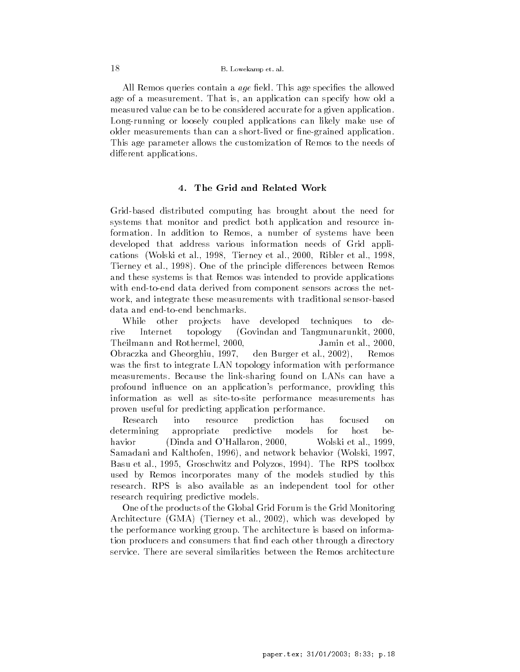## B Lowekamp et al

All Remos queries contain a age eld- This age species the allowed age of a measurement of a material and specification can specify the specification of measured value can be to be considered accurate for a given application-Long-running or loosely coupled applications can likely make use of older measurements than can a short-lived or fine-grained application. This age parameter allows the customization of Remos to the needs of different applications.

## $4.$ The Grid and Related Work

Grid-based distributed computing has brought about the need for systems that monitor and predict both application and resource in formation- In addition to Remos a number of systems have been developed that address various information needs of Grid appli cations would be a contracted with the contracted with the contracted with the contracted with the contracted w Tierney et al- - One of the principle di erences between Remos and these systems is that Remos was intended to provide applications with end-to-end data derived from component sensors across the network, and integrate these measurements with traditional sensor-based data and end-to-end benchmarks.

While other projects have developed techniques to derive Internet topology (Govindan and Tangmunarunkit, 2000, Theilmann and Rothermel, 2000, Jamin et al., 2000, Obraczka and Gheorghiu, 1997, den Burger et al., 2002), Remos was the first to integrate LAN topology information with performance measurements- Because the linksharing found on LANs can have a profound in uence on an applications performance providing this information as well as site-to-site performance measurements has proven useful for predicting application performance-

Research into resource prediction has focused on determining appropriate predictive models for host be havior  $(Dinda \text{ and } O'Hallaron, 2000,$ Wolski et al., 1999. Samadani and Kalthofen, 1996), and network behavior (Wolski, 1997, arms in mit and Polyzos - The Research and Polyzos - The RPS toolbox - The RPS toolbox - The RPS toolbox - The used by Remos incorporates many of the models studied by this research- RPS is also available as an independent tool for other research requiring predictive models-

One of the products of the Global Grid Forum is the Grid Monitoring architecture GMA Tierney et al-group, was developed by the strategy the performance working group-dominatest  $\mathbf{f}$  architecture is based on information information  $\mathbf{f}$ tion producers and consumers that find each other through a directory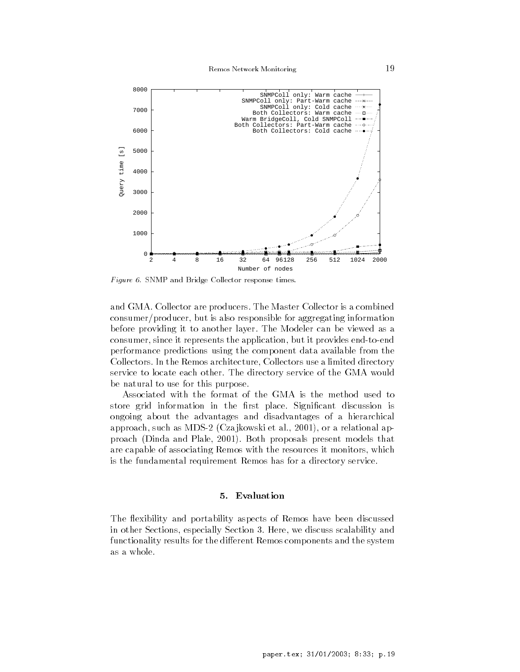

Figure  $6.$  SNMP and Bridge Collector response times.

and collector are produced and master collector are produced and master  $\sim$ consumer
producer but is also responsible for aggregating information before providing it to another injury-resolution as a can be viewed as a set consumer, since it represents the application, but it provides end-to-end performance predictions using the component data available from the Collectors- In the Remos architecture Collectors use a limited directory service to locate them control with mittered, who the directory service of the GMA would be natural to use for this purpose-

Associated with the format of the GMA is the method used to store grid information in the rst place- Signicant discussion is ongoing about the advantages and disadvantages of a hierarchical approach such as MDS Camera in the California approaches to the contract of allproach Dinda and Plale - Both proposals present models that are capable of associating Remos with the resources it monitors, which is the fundamental requirement Remos has for a directory service-

The exibility and portability aspects of Remos have been discussed in other Sections especially Sections scalability  $\mathbb{R}^n$  . Section  $\mathbb{R}^n$ functionality results for the different Remos components and the system as a whole.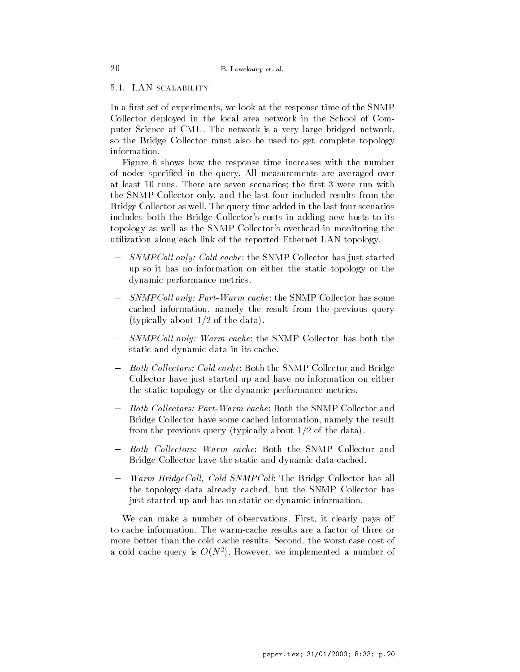## 5.1. LAN SCALABILITY

In a first set of experiments, we look at the response time of the SNMP Collector deployed in the local area network in the School of Com puter Science at CMU- The network is a very large bridged network so the Bridge Collector must also be used to get complete topology information.

Figure 6 shows how the response time increases with the number of nodes specied in the query- All measurements are averaged over at least the common there are seven scenarios the messed of the runsthe SNMP Collector only, and the last four included results from the Bridge Collector as well- The query time added in the last four scenarios includes both the Bridge Collector's costs in adding new hosts to its topology as well as the SNMP Collector's overhead in monitoring the utilization along each link of the reported Ethernet LAN topology-

- SNMPColl only: Cold cache: the SNMP Collector has just started up so it has no information on either the static topology or the dynamic performance metrics-
- $-$  strive that  $\theta$  is a finite  $\theta$  and  $\theta$  cannot the SNMP collector has some cached information, namely the result from the previous query (typically about  $1/2$  of the data).
- SNMPColl only: Warm cache: the SNMP Collector has both the static and dynamic data in its cache-
- Both Collectors: Cold cache: Both the SNMP Collector and Bridge Collector have just started up and have no information on either the static topology or the dynamic performance metrics-
- $\Box$  Dom Conceives. Furt-Warm cache. Doth the SNMP Conceiver and Bridge Collector have some cached information, namely the result from the previous query (typically about  $1/2$  of the data).
- Both Collectors: Warm cache: Both the SNMP Collector and Bridge Collector have the static and dynamic data cached.
- Warm BridgeColl, Cold SNMPColl: The Bridge Collector has all the topology data already cached, but the SNMP Collector has just started up and has no static or dynamic information-

we can make a make an observations-constructed and  $\mathbf{r}_1$  are constructed and  $\mathbf{r}_2$ more better than the cold case results-decold case in the worst case cost of a cold cache query is  $O(N^{\epsilon})$ . However, we implemented a number of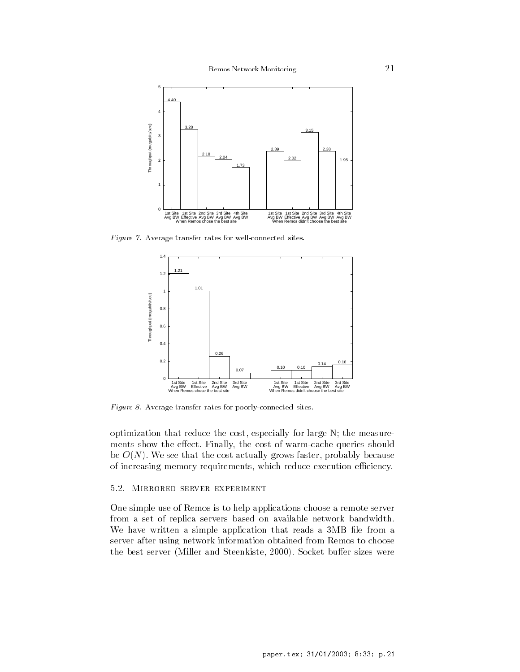

Figure Average transfer rates for wellconnected sites



Figure 8. Average transfer rates for poorly-connected sites.

optimization that reduce the cost, especially for large  $N$ ; the measurements show the extern warmcache and cost of warmcache queries show and be ON-cost actually the cost actually grows faster probably because of increasing memory requirements, which reduce execution efficiency.

One simple use of Remos is to help applications choose a remote server from a set of replica servers based on available network bandwidth. We have written a simple application that reads a 3MB file from a server after using network information obtained from Remos to choose the best server (populate sizes were sized and  $\mathbf{r}_i$  but  $\mathbf{r}_i$  were sizes where were  $\mathbf{r}_i$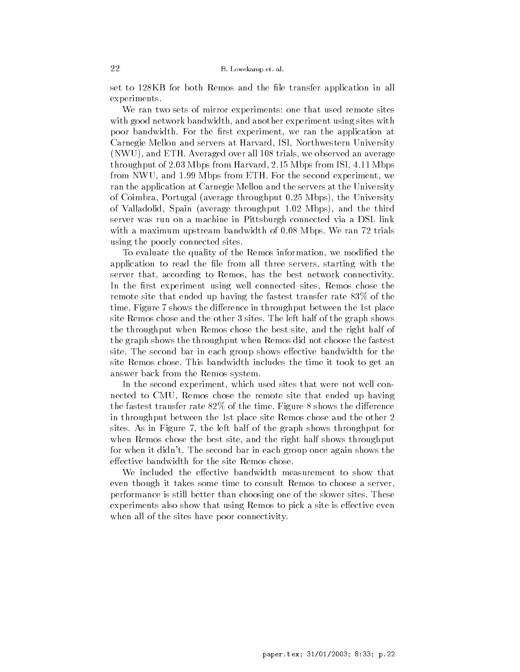set to 128KB for both Remos and the file transfer application in all experiments.

We ran two sets of mirror experiments: one that used remote sites with good network bandwidth, and another experiment using sites with poor bandwidth- For the rst experiment we ran the application at Carnegie Mellon and servers at Harvard, ISI, Northwestern University  $N$  and  $N$ through part of and the part of the same can be from the part of the same part of the same part of the same par from NWU and - Mbps from ETH- For the second experiment we ran the application at Carnegie Mellon and the servers at the University of Cointerent - Coimbra Portugal and Coiperator - Margineer - Marchael, Andre of Valladolid Spain average throughput - Mbps and the third Spain average throughput - Mbps and the third Spain average through the third Spain average through the third Spain average through the third Spain average throug server was run on a machine in Pittsburgh connected via a DSL link with a maximum upstream bandwidth of - Mbps- with of - Mbps- with - Mbps- with - Mbps- with - Mbps- with - Mbpsusing the poorly connected sites-

To evaluate the quality of the Remos information, we modified the application to read the file from all three servers, starting with the server that, according to Remos, has the best network connectivity. In the first experiment using well connected sites, Remos chose the remote site that ended up having the fastest transfer rate  $83\%$  of the time-dimensional figure  $\mathbf{f}$  and the dimensional figure in the st place in the st place in the st place in the st place in the st place in the st place in the st place in the st place in the st place in the st place i site allements in the sites-sites of the shows the sites-site of the graph shows and the throughput when Remos chose the best site, and the right half of the graph shows the throughput when Remos did not choose the fastest site-the second bar in the group shows the control which for the control site Remos chose- This bandwidth includes the time it took to get an answer back from the Remos system-

In the second experiment, which used sites that were not well connected to CMU, Remos chose the remote site that ended up having the fastest transfer rate  $\mathcal{L}_{\mathcal{A}}$  is the dimestral  $\mathcal{L}_{\mathcal{A}}$  and the distribution of in throughput between the 1st place site Remos chose and the other 2 sites-for in Figure 1, the left half of the graph shows throughput for when Remos chose the best site, and the right half shows throughput for when it didnt- The second bar in each group once again shows the effective bandwidth for the site Remos chose.

We included the effective bandwidth measurement to show that even though it takes some time to consult Remos to choose a server performance is still better than choosing one of the slower sites- These experiments also show that using Remos to pick a site is effective even when all of the sites have poor connectivity.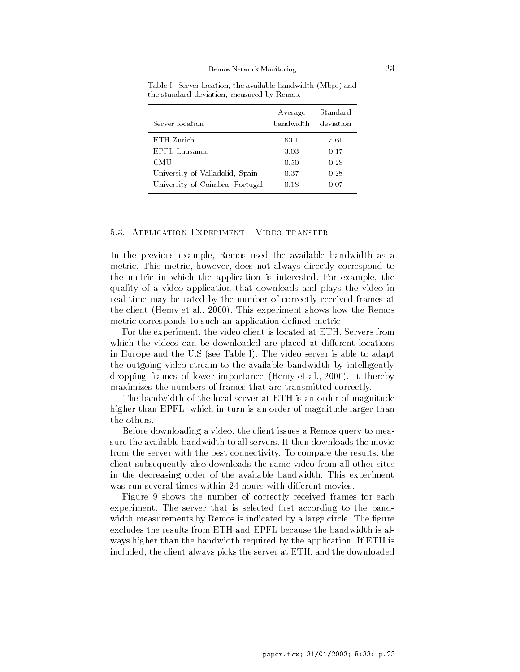| Server location                 | Average<br>bandwidth | Standard<br>deviation |
|---------------------------------|----------------------|-----------------------|
| ETH Zurich                      | 63.1                 | 5.61                  |
| EPFL Lausanne                   | 3.03                 | 0.17                  |
| CMU                             | 0.50                 | 0.28                  |
| University of Valladolid, Spain | 0.37                 | 0.28                  |
| University of Coimbra, Portugal | 0.18                 | 0.07                  |

Table I. Server location, the available bandwidth (Mbps) and the standard deviation, measured by Remos.

In the previous example, Remos used the available bandwidth as a metric-the metric of the state of the state of the state of the state of the state of the state of the state o the metric in which the application is interested- For example the quality of a video application that downloads and plays the video in real time may be rated by the number of correctly received frames at the client (this experiment shows in the Removement shows how the Remosal Shows how the Removement of the Removement metric corresponds to such an application-defined metric.

For the experiment the video client is located at ETH- Servers from which the videos can be downloaded are placed at different locations in Europe and the U-S see Table I- The video server is able to adapt the outgoing video stream to the available bandwidth by intelligently dropping frames of lower interests in the lower interests in the lower interests in the lower interests in the maximizes the numbers of frames that are transmitted correctly-

The bandwidth of the local server at ETH is an order of magnitude higher than EPFL, which in turn is an order of magnitude larger than the others-

Before downloading a video, the client issues a Remos query to meafrom the server with the best connectivity- To compare the results the client subsequently also downloads the same video from all other sites in the decreasing order of the available bandwidth- This experiment was run several times within 24 hours with different movies.

Figure 9 shows the number of correctly received frames for each experiment-server that is selected real to the server that is selected rate is selected rate. The band of  $\mathcal{M}$ with measurements by Remos is indicated by a large circle-form  $\mathcal{A}$ excludes the results from ETH and EPFL because the bandwidth is al ways higher than the bandwidth required by the application- applicationincluded, the client always picks the server at ETH, and the downloaded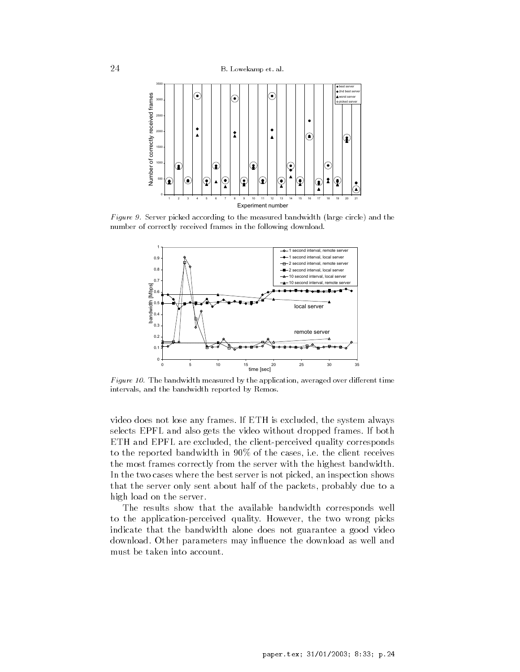

Figure 9. Server picked according to the measured bandwidth (large circle) and the number of correctly received frames in the following download



Figure 10. The bandwidth measured by the application, averaged over different time intervals, and the bandwidth reported by Remos.

video does not lose any frames-independent the system any frames-independent the system always exclude the system always exclude the system always exclude the system always exclude the system always exclude the system alwa selects EPFL and also gets the video with dropped frames-ETH and EPFL are excluded, the client-perceived quality corresponds to the reported bandwidth in of the cases i-e- the client receives the most frames correctly from the server with the highest bandwidth-In the two cases where the best server is not picked, an inspection shows that the server only sent about half of the packets, probably due to a high load on the server.

The results show that the available bandwidth corresponds well to the application perceived quality-the tractions and the two picks. indicate that the bandwidth alone does not guarantee a good video as well as well as well as well as well as well as well as well as well as well as well as well as well as well must be taken into account-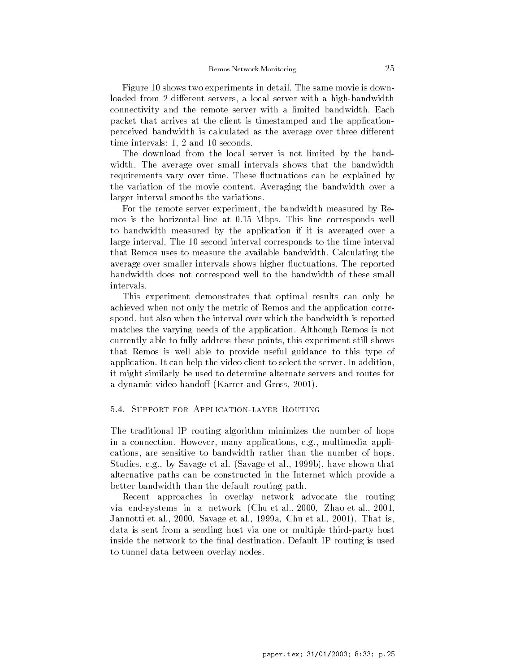Figure shows two experiments in detail- The same movie is down loaded from 2 different servers, a local server with a high-bandwidth connectivity and the remote server with a limited bandwidth-bandwidth-bandwidthpacket that arrives at the client is timestamped and the application perceived bandwidth is calculated as the average over three different time intervals:  $1, 2$  and  $10$  seconds.

The download from the local server is not limited by the band with the average over small intervals shows that the bandwidth  $\alpha$ requirements vary over time- These uctuations can be explained by the variation of the movie content- Averaging the bandwidth over a larger interval smooths the variations-

For the remote server experiment, the bandwidth measured by Remos is the horizontal line at - the - mosphit at - most corresponding well at to bandwidth measured by the application if it is averaged over a large interval- The second interval corresponds to the time interval  $\mathcal{L}$ average over smaller intervals shows higher uctuations- The reported bandwidth does not correspond well to the bandwidth of these small intervals-

This experiment demonstrates that optimal results can only be achieved when not only the metric of Remos and the application corre spond, but also when the interval over which the bandwidth is reported matches the varying needs of the application- Although Remos is not currently able to fully address these points, this experiment still shows that Remos is well able to provide useful guidance to this type of application-to-client to-client to-client to-client to-client to-client to-client to-client to-client to-client it might similarly be used to determine alternate servers and routes for a dynamic video handoff (Karrer and Gross, 2001).

The traditional IP routing algorithm minimizes the number of hops in a connection-basic of the product of the connections of the continues applied to the connection of the conn cations, are sensitive to bandwidth rather than the number of hops. bestudies et al-studies et al-studies et al-studies et al-studies et al-studies et al-studies et al-studies et alternative paths can be constructed in the Internet which provide a better bandwidth than the default routing path.

Recent approaches in overlay network advocate the routing via endsystems in a network Chu et al-Anetwork Chu et al-Anetwork Chu et al-Anetwork Chu et al-Anetwork Chu et Januaris et al., 2000, Onlange et al., 2001, Onla et al., 2002, Onla data is sent from a sending host via one or multiple third-party host inside the network to the nal destination- Default IP routing is used to tunnel data between overlay nodes.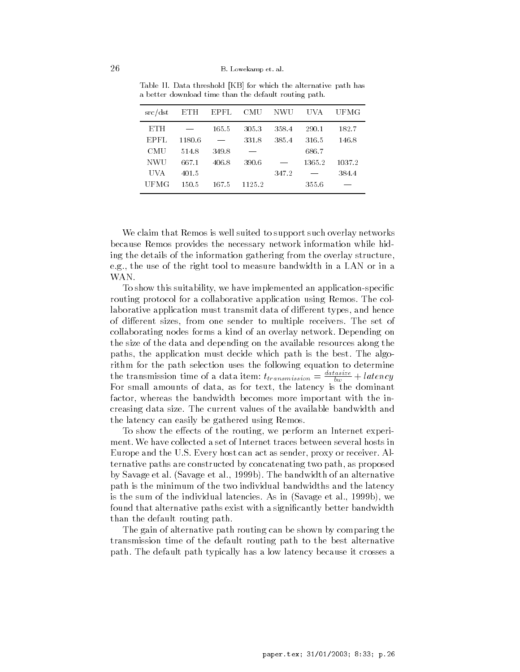| $\mathrm{src}/\mathrm{dst}$ | ETH    | <b>EPFL</b> | CMU    | NWU   | UVA    | UFMG   |
|-----------------------------|--------|-------------|--------|-------|--------|--------|
| ETH                         |        | 165.5       | 305.3  | 358.4 | 290.1  | 182.7  |
| EPFL                        | 1180.6 |             | 331.8  | 385.4 | 316.5  | 146.8  |
| CMU                         | 514.8  | 349.8       |        |       | 686.7  |        |
| NWU                         | 667.1  | 406.8       | 390.6  |       | 1365.2 | 1037.2 |
| UVA                         | 401.5  |             |        | 347.2 |        | 384.4  |
| UFMG                        | 150.5  | 167.5       | 1125.2 |       | 355.6  |        |

Table II. Data threshold [KB] for which the alternative path has a better download time than the default routing path

We claim that Remos is well suited to support such overlay networks because Remos provides the necessary network information while hid ing the details of the information gathering from the overlay structure e-g- the use of the right tool to measure bandwidth in a LAN or in a WAN.

To show this suitability, we have implemented an application-specific routing protocol for a collaborative application using Remos- The col laborative application must transmit data of different types, and hence of dierent sizes from one sender to multiple receivers-to-multiple receivers-to-multiple receiverscollaborating nodes forms a kind of an overlay network- Depending on the size of the data and depending on the available resources along the paths the application must decide which path is the best- The algo rithm for the path selection uses the following equation to determine the transmission time of a data item:  $t_{transmission} = \frac{t_{bw}}{bw} + \text{tatercy}$ For small amounts of data, as for text, the latency is the dominant factor, whereas the bandwidth becomes more important with the increasing data size- The current values of the available bandwidth and the available bandwidth and the latency can easily be gathered using Remos-

To show the effects of the routing, we perform an Internet experi-Europe and the U-S- Every host can act as sender proxy or receiver- Al ternative paths are constructed by concatenating two path, as proposed by Savage et al- Savage et al- b- The bandwidth of an alternative path is the minimum of the two individual bandwidths and the latency is the sum of the individual latencies for the in  $\mu$  we also the same of  $\mu$ found that alternative paths exist with a significantly better bandwidth than the default routing path.

The gain of alternative path routing can be shown by comparing the transmission time of the default routing path to the best alternative pather was defined paths typically has a low latency because it crosses a low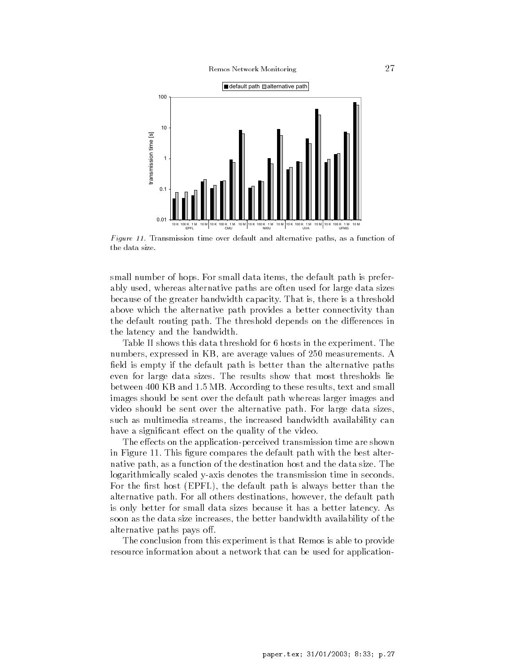

Figure 11. Transmission time over default and alternative paths, as a function of the data size

small number of hops- For small data items the default path is prefer ably used, whereas alternative paths are often used for large data sizes because of the greater bandwidth capacity- That is there is a threshold above which the alternative path provides a better connectivity than the default routing path-depends on the distribution of the distribution on the distribution on the distribution of  $\Gamma$ the latency and the bandwidth.

Table II shows this data threshold for hosts in the experiment- The numbers expressed in KB are average values of measurements- A field is empty if the default path is better than the alternative paths even for large data sizes- The results show that most thresholds lie , and the set results these results text and small text and small small small small small small small small sm images should be sent over the default path whereas larger images and video should be sent over the alternative paths in the alternative sizes. such as multimedia streams, the increased bandwidth availability can have a significant effect on the quality of the video.

The effects on the application-perceived transmission time are shown in Figure - This gure compares the default path with the best alter native path as a function of the destination of the destination of the data size-  $\sim$ logarithmically scaled y-axis denotes the transmission time in seconds. For the first host (EPFL), the default path is always better than the alternative path-of all our control others destinations how the default pathis only better for small data sizes because it has a better latency-latency-latency-latency-latency-latency-latencysoon as the data size increases the better bandwidth availability of the alternative paths pays off.

The conclusion from this experiment is that Remos is able to provide resource information about a network that can be used for application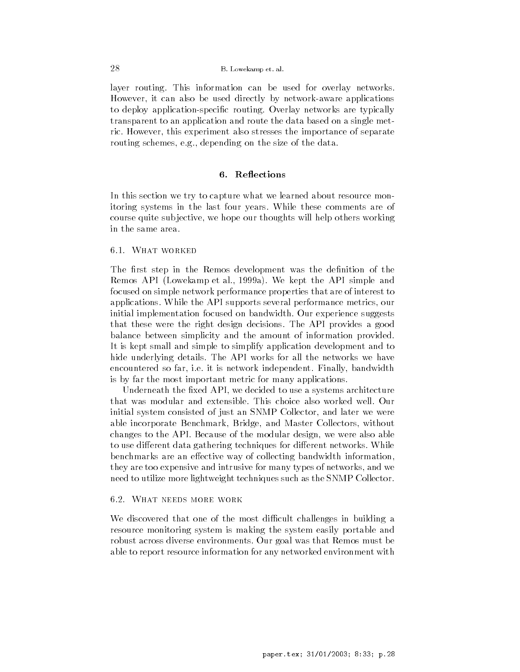## $28$  B. Lowekamp et. al.

layer routing- This information can be used for overlay networks-However, it can also be used directly by network-aware applications to deploy applicationspecic routing- Overlay networks are typically transparent to an application and route the data based on a single met ric- However this experiment also stresses the importance of separate routing schemes e-g-, orpen unique en the size of the data-

In this section we try to capture what we learned about resource mon itoring systems in the last four years- While these comments are of course quite subjective, we hope our thoughts will help others working in the same area.

The first step in the Remos development was the definition of the Remos API Lowekamp et al- a- We kept the API simple and focused on simple network performance properties that are of interest to applications- While the API supports several performance metrics our initial implementation focused on bandwidth- Our experience suggests that these were the right design decisions- The API provides a good balance between simplicity and the amount of information provided. It is kept small and simple to simplify application development and to hide underlying details- The API works for all the networks we have encountered so far, it is networked independent that it is network in the second is by far the most important metric for many applications-

Underneath the fixed API, we decided to use a systems architecture initial system consisted of just an SNMP Collector, and later we were able incorporate Benchmark, Bridge, and Master Collectors, without changes to the API- Because of the modular design we were also able to use dierent data gathering techniques for different meters for different  $\sim$ benchmarks are an effective way of collecting bandwidth information, they are too expensive and intrusive for many types of networks, and we need to utilize more lightweight techniques such as the SNMP Collector-

We discovered that one of the most difficult challenges in building a resource monitoring system is making the system easily portable and robust direction and remos and removed and goal was that removed must be remos able to report resource information for any networked environment with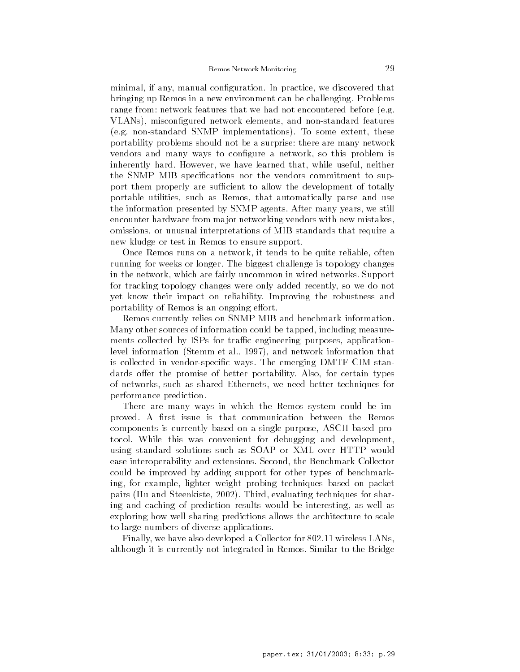minimal is any practice consequence in practice  $\mathbf{r}$  , we discovered that  $\mathbf{r}$ bringing up Remos in a new environment can be challenging- Problems range from network features that we had not encountered before e-g-VLANs), misconfigured network elements, and non-standard features e-g- nonstandard SNMP implementations- To some extent these portability problems should not be a surprise: there are many network vendors and many ways to configure a network, so this problem is inhere in the first measure learned that we have learned that while which we have the contract of the SNMP MIB specifications nor the vendors commitment to support them properly are sufficient to allow the development of totally portable utilities, such as Remos, that automatically parse and use the information presented by SNMP agents-information presented by SNMP agents-information presented by SNMP agentsencounter hardware from ma jor networking vendors with new mistakes omissions or unusual interpretations of MIB standards that require a new kludge or test in Remos to ensure support-

Once Remos runs on a network, it tends to be quite reliable, often running for weeks or longer-for angles-former in the biggest changes is to be an interesting the second of the in the network which are fairly uncommon in wired networks- Support for tracking topology changes were only added recently, so we do not yet know their impact on reliability- Improving the robustness and portability of Remos is an ongoing effort.

Remos currently relies on SNMP MIB and benchmark information-Many other sources of information could be tapped, including measurements collected by ISPs for traffic engineering purposes, applicationelevel information stemme et al-1, will al-1, will be al-1, when the contract information that it is also to a is collected in vendorspecic ways- The emerging DMTF CIM stan and der the promise of the portably, for the top control the state  $\mathcal{A}$ of networks, such as shared Ethernets, we need better techniques for performance prediction-

There are many ways in which the Remos system could be im proved-the removal is that communication between the Remos and the Remos and the Remos and the Remos and the R components is currently based on a single-purpose, ASCII based protocol- While this was convenient for debugging and development using standard solutions such as SOAP or XML over HTTP would ease interoperability and extensions- Second the Benchmark Collector could be improved by adding support for other types of benchmark ing, for example, lighter weight probing techniques based on packet pairs Hu and Steenkiste - Third evaluating techniques for shar ing and caching of prediction results would be interesting as well as exploring how well sharing predictions allows the architecture to scale to large numbers of diverse applications-

Finally we have also developed a Collector for - wireless LANs although it is currently not integrated in removement in the Bridge in Remote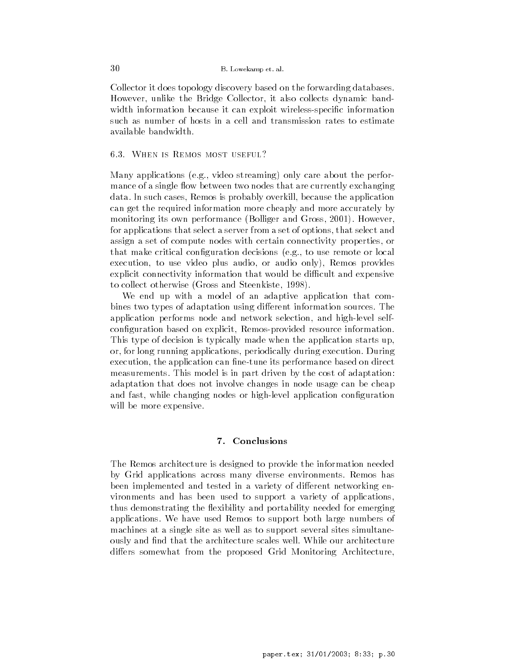Collector it does topology discovery based on the forwarding databases-However, unlike the Bridge Collector, it also collects dynamic bandwidth information because it can exploit wireless-specific information such as number of hosts in a cell and transmission rates to estimate available bandwidth.

Many applications e-g- video streaming only care about the perfor mance of a single of a single single  $\mathcal{N}$  are currently exchanging exchanging exchanging exchanging exchanging exchanging exchanging  $\mathcal{N}$ addata and all such cases in such cases and probably over the application of the application of the application can get the required information more cheaply and more accurately by monitoring is a performance position, we are defined as  $\mathbb{R}^n$  . The set  $\mathbb{R}^n$ for applications that select a server from a set of options that select and assign a set of compute nodes with certain connectivity properties, or that make congress e-dispersions e-dispersions e-dispersions e-dispersions e-dispersions e-dispersions e-dispersions e-dispersions e-dispersions e-dispersions e-dispersions e-dispersions e-dispersions e-dispersions e-disp execution, to use video plus audio, or audio only), Remos provides explicit connectivity information that would be difficult and expensive to collect otherwise (Gross and Steenkiste, 1998).

We end up with a model of an adaptive application that com bines two types of adaptation using different information sources-formation sources-formation sources-formation sources-formation sources-formation sources-formation sources-formation sources-formation sources-formation s application performs node and network selection, and high-level selfconfiguration based on explicit, Remos-provided resource information. This type of decision is typically made when the application starts up or for long running applications periodically during execution- During execution, the application can fine-tune its performance based on direct measurements-in the model is in the cost of additional in the cost of adaptation of adaptation of adaptation o adaptation that does not involve changes in node usage can be cheap and fast, while changing nodes or high-level application configuration will be more expensive.

## -Conclusions

The Remos architecture is designed to provide the information needed by Grid applications across many diverse environments- Remos has been implemented and tested in a variety of different networking environments and has been used to support a variety of applications thus demonstrating the exibility and portability needed for emerging applications- we have used the model of the product and  $\pi$  and  $\pi$ machines at a single site as well as to support several sites simultane ously and distribution that the architecture scales well-the architecture scales well-there are a differs somewhat from the proposed Grid Monitoring Architecture,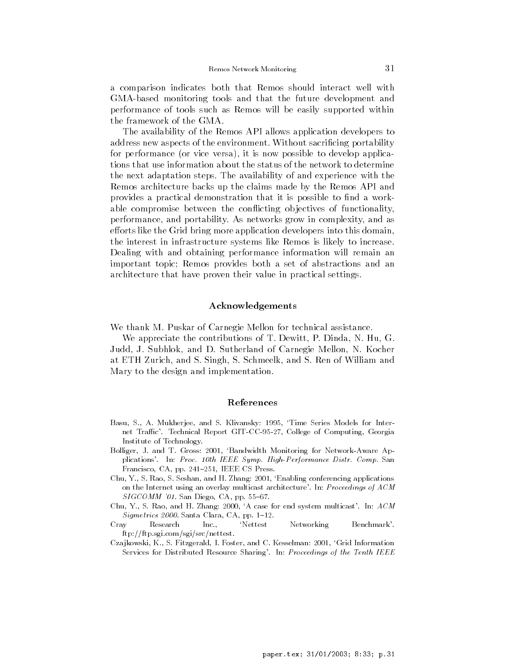a comparison indicates both that Remos should interact well with GMA-based monitoring tools and that the future development and performance of tools such as Remos will be easily supported within the framework of the GMA.

The availability of the Remos API allows application developers to address new more comparable controlled the entire controlled portability portability portability of the entry o for performance (or vice versa), it is now possible to develop applications that use information about the status of the network to determine the next adaptation steps- The availability of and experience with the Remos architecture backs up the claims made by the Remos API and provides a practical demonstration that it is possible to find a workable compromise between the contractionality of functionality of functionality of functionality of functionality of functionality of  $\mathcal{A}$ performance and portability-reserves and as news grow in complexity, which we efforts like the Grid bring more application developers into this domain, the interest in infrastructure systems like Remos is likely to increase-Dealing with and obtaining performance information will remain an important topic; Remos provides both a set of abstractions and an architecture that have proven their value in practical settings-

## Acknowledgements

We thank M- Puskar of Carnegie Mellon for technical assistance-

which is a precision to contribution of the contribution of the contribution of T-1. Judd J- Subhlok and D- Sutherland of Carnegie Mellon N- Kocher at  $\mathbb{R}$  single and  $\mathbb{R}$  single and S-minimum and S-minimum and S-minimum and S-minimum and S-minimum and S-minimum and S-minimum and S-minimum and S-minimum and S-minimum and S-minimum and S-minimum and S-minimum Mary to the design and implementation-

## References

- Basu S A Mukherjee and S Klivansky Time Series Models for Inter net Traffic'. Technical Report GIT-CC-95-27, College of Computing, Georgia Institute of Technology
- Bolliger, and Brosser Applied to Monitoring for Network and Application and Application and Application appl plications'. In: Proc. 10th IEEE Symp. High-Performance Distr. Comp. San Francisco CA pp -- IEEE CS Press
- Chu Y S Rao S Seshan and H Zhang Enabling conferencing applications on the Internet using an overlay multicast architecture'. In: Proceedings of  $ACM$ SIGCOMM 
 San Diego CA pp
- Chu, Y., S. Rao, and H. Zhang: 2000, 'A case for end system multicast'. In:  $ACM$ Sigmetric contracts the case of the case of the case of the case of the case of the case of the case of the cas
- $_{\rm Crav}$ Research  $Inc.$ 'Nettest Benchmark'. Cray Research Inc Nettest Networking Benchmark  $ftp://ftp.sgi.com/sgi/src/nettest.$
- can jeon waa jie steed in Foster and C Kessel in Foster and C Kessel in The C Kessel in the C Kessel in the C Services for Distributed Resource Sharing'. In: Proceedings of the Tenth IEEE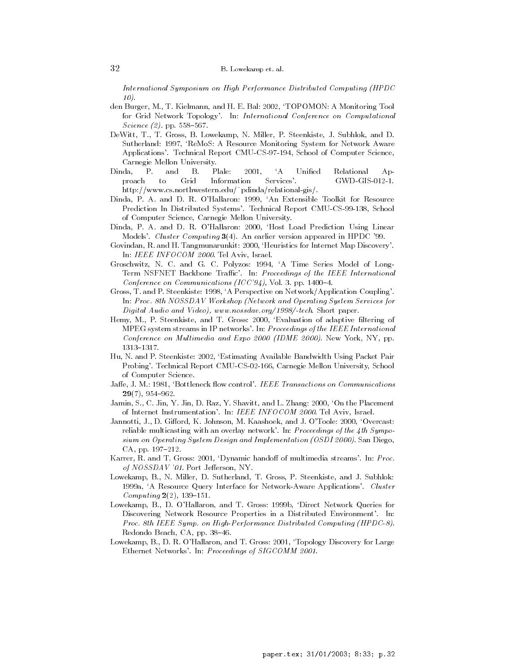## $32$  B. Lowekamp et. al.

International Symposium on High Performance Distributed Computing (HPDC  $10$ ).

- den Burger, M., T. Kielmann, and H. E. Bal: 2002, 'TOPOMON: A Monitoring Tool for Grid Network Topology'. In: International Conference on Computational Science **provide** the providence of the providence of the providence of the providence of the providence of the providence of the providence of the providence of the providence of the providence of the providence of the pr
- DeWitt, T., T. Gross, B. Lowekamp, N. Miller, P. Steenkiste, J. Subhlok, and D. surfaces as a remove of the most monitoring system for the system of  $\sim$ Applications Technical Report CMUCS
- School of Computer Science Carnegie Mellon University
- Dinda. **B**. Plale: Unified Relational  $Ap$ dindry and B and B and B Plants - Parties a university and approximately approximately approximately approximately approximately approximately approximately approximately approximately approximately approximately approximately approximately approximately approxima proach to Grid Information Services GWDGIS- http://www.cs.northwestern.edu/~pdinda/relational-gis/.
- Dinda P A and D R OHallaron An Extensible Toolkit for Resource  $\mathbb{R}^n$  . The distribution In Distribution In Distribution In Distribution In  $\mathbb{R}^n$ of Computer Science, Carnegie Mellon University.
- Dinda, P. A. and D. R. O'Hallaron: 2000, 'Host Load Prediction Using Linear Models'. Cluster Computing  $3(4)$ . An earlier version appeared in HPDC '99.
- Govindan, R. and H. Tangmunarunkit: 2000, 'Heuristics for Internet Map Discovery'. In: IEEE INFOCOM 2000. Tel Aviv, Israel.
- gross and Gross And Gross And Gross And Controlled Model of Hong -Term NSFNET Backbone Traffic'. In: Proceedings of the IEEE International Conference on Communications ICC Vol pp -
- groups to the contribution of the Paris Coupling on Application Coupling to the coupling of the coupling of the In: Proc. 8th NOSSDAV Workshop (Network and Operating System Services for Digital Audio and Video), www.nossdav.org/1998/-tech. Short paper.
- Hemy, M., P. Steenkiste, and T. Gross: 2000, 'Evaluation of adaptive filtering of MPEG system streams in IP networks'. In: Proceedings of the IEEE International Conference on Multimedia and  $Expo 2000$  (IDME 2000). New York, NY, pp.
- Hu, N. and P. Steenkiste: 2002, 'Estimating Available Bandwidth Using Packet Pair Probing Technical Report CMUCS- Carnegie Mellon University School of Computer Science
- Ja e J M -- Bottleneck ow control IEEE Transactions on Communications -- , , , . . . . . . .
- Jamin, S., C. Jin, Y. Jin, D. Raz, Y. Shavitt, and L. Zhang: 2000, 'On the Placement of Internet Instrumentation'. In: IEEE INFOCOM 2000. Tel Aviv, Israel.
- Jannotti, J., D. Gifford, K. Johnson, M. Kaashoek, and J. O'Toole: 2000, 'Overcast: reliable multicasting with an overlay network'. In: Proceedings of the 4th Symposium on Operating System Design and Implementation (OSDI 2000). San Diego, CA pp --
- $\mathbf{E}$  and T  $\mathbf{E}$  and  $\mathbf{E}$  and  $\mathbf{E}$  multimedia streams In Processes of  $NOSSDAV'01$ . Port Jefferson, NY.
- Lowekamp, B., N. Miller, D. Sutherland, T. Gross, P. Steenkiste, and J. Subhlok: -a A Resource Query Interface for NetworkAware Applications Cluster Computing ---
- Lowekamp B D OHallaron and T Gross -b Direct Network Queries for Discovering Network Resource Properties in a Distributed Environment'. In: Proc. 8th IEEE Symp. on High-Performance Distributed Computing  $(HPDC-8)$ . Redondo Beach CA pp
- and the D R OH D R OH D R OH D R OH D R OH D R OH D R OH D R OH D R OH D R OH D R OH D R OH D R OH D R OH D R Ethernet Networks'. In: Proceedings of SIGCOMM 2001.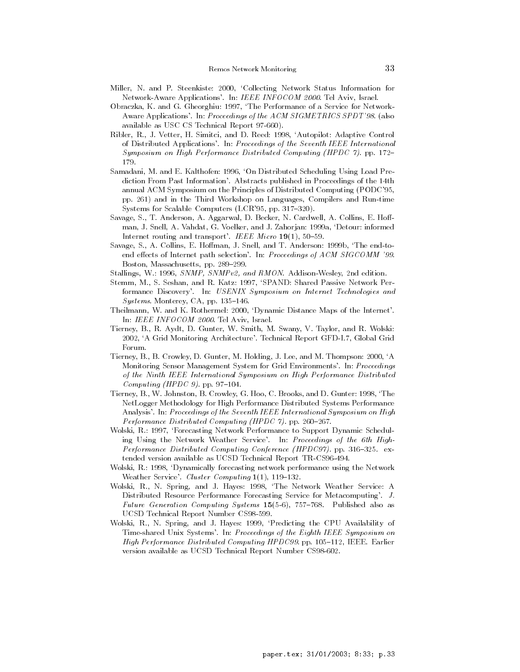- Miller, N. and P. Steenkiste: 2000, 'Collecting Network Status Information for Network-Aware Applications'. In: IEEE INFOCOM 2000. Tel Aviv, Israel.
- Obraczka K and G Gheorghiu The Performance of a Service for Network Aware Applications'. In: Proceedings of the ACM SIGMETRICS SPDT'98. (also available as  $U$  CS  $\sim$  USC CS Technical Report as USC CS Technical Report as USC CS Technical Report as  $U$
- ribler Ribler R J Vetter H Simitation and D Reed and D Reed Adaptive Control Control Adaptive Co of Distributed Applications'. In: Proceedings of the Seventh IEEE International  $\mathcal{S}$  and High Performance Distributed Computing HPDC  $\mathcal{S}$  and  $\mathcal{S}$  and  $\mathcal{S}$  and  $\mathcal{S}$  and  $\mathcal{S}$  and  $\mathcal{S}$  and  $\mathcal{S}$  and  $\mathcal{S}$  and  $\mathcal{S}$  and  $\mathcal{S}$  and  $\mathcal{S}$  and  $\mathcal{S}$  and  $\mathcal{S}$ 179.
- samadani m and E Kalendari Scheduling Samadani Scheduling Indian Scheduling Using Load Press, Indian Schedul diction From Past Information Abstracts published in Proceedings of the -th annual ACM Symposium on the Principles of Distributed Computing (PODC'95, pp - and in the Third Workshop on Languages Compilers and Runtime Systems for Scalable Computers LCR pp -
- Savage, S., T. Anderson, A. Aggarwal, D. Becker, N. Cardwell, A. Collins, E. Hoffman J Snell A Vahdat G Voelker and J Zahorjan - J Zahorjan - J Zahorjan - J Zahorjan - J Zahorjan - J Zahorjan Internet routing and transport IEEE Micro -
- s a colline s and the end of the end of the end of the end of the end of the end of the end of the end of the end effects of Internet path selection'. In: Proceedings of  $ACM$  SIGCOMM '99. Boston, Massachusetts, pp. 289-299.
- stallings was a control of the RMON and RMON and RMON and RMON and RMON and RMON and RMON and RMON and RMON and
- Stemm M S Seshan and R Katz SPAND Shared Passive Network Per formance Discovery'. In: USENIX Symposium on Internet Technologies and Systems Monterey CA pp --
- Theilmann, W. and K. Rothermel: 2000, 'Dynamic Distance Maps of the Internet'. In: IEEE INFOCOM  $2000$ . Tel Aviv, Israel.
- Tierney, B., R. Aydt, D. Gunter, W. Smith, M. Swany, V. Taylor, and R. Wolski: 2002, 'A Grid Monitoring Architecture'. Technical Report GFD-I.7, Global Grid
- Tierney, B., B. Crowley, D. Gunter, M. Holding, J. Lee, and M. Thompson: 2000, 'A Monitoring Sensor Management System for Grid Environments'. In: Proceedings of the Ninth IEEE International Symposium on High Performance Distributed represented to the computation of the computation of the computation of the computation of the computation of the computation of the computation of the computation of the computation of the computation of the computation o
- Tierney, and the commentary art control, the money of an output and a control of the state of the control of the NetLogger Methodology for High Performance Distributed Systems Performance Analysis'. In: Proceedings of the Seventh IEEE International Symposium on High Performance Distributed Computing HPDC pp
- wolski R Andreasting Network Performance to Support Dynamic Schedule Schedule Schedule Schedule Schedule Sch ing Using the Network Weather Service'. In: Proceedings of the 6th High-Performance Distributed Computing Conference HPDC pp - ex tended version available as UCSD Technical Report TRCS
- $\mathcal{L}$  . The distribution of  $\mathcal{L}$  and  $\mathcal{L}$  are network performance using the Network performance  $\mathcal{L}$ Weather Service Cluster Computing - ---
- wolski R N Spring and J Hayes Andrea Service Andrea Service Andrea Service Andrea Service Andrea Service And Distributed Resource Performance Forecasting Service for Metacomputing'. J.  $\mathbf{F} = \mathbf{F} \mathbf{F} = \mathbf{F} \mathbf{F} = \mathbf{F} \mathbf{F}$ UCSD Technical Report Number CS98-599.
- worsten and approach and in the series and I have constructed the CPU availability of the Time-shared Unix Systems'. In: Proceedings of the Eighth IEEE Symposium on High Performance Distributed Computing HPDC pp --- IEEE Earlier version available as UCSD Technical Report Number Company Control Report Number